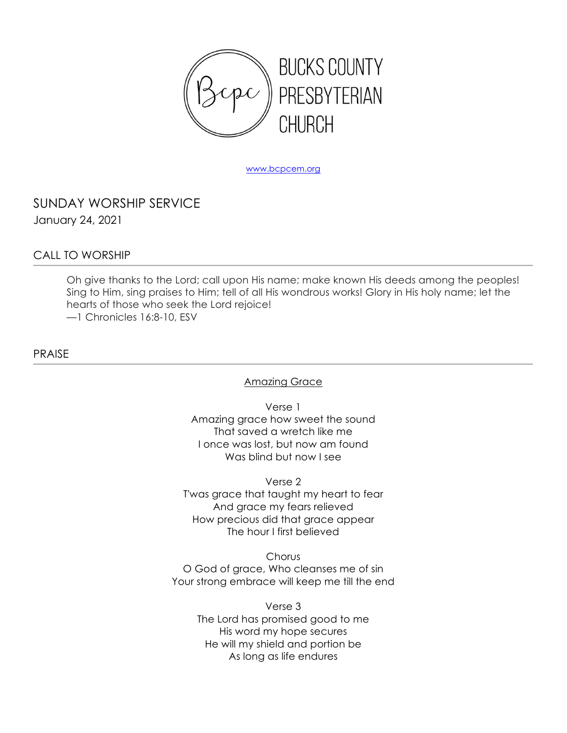

www.bcpcem.org

SUNDAY WORSHIP SERVICE January 24, 2021

# CALL TO WORSHIP

Oh give thanks to the Lord; call upon His name; make known His deeds among the peoples! Sing to Him, sing praises to Him; tell of all His wondrous works! Glory in His holy name; let the hearts of those who seek the Lord rejoice! —1 Chronicles 16:8-10, ESV

PRAISE

Amazing Grace

Verse 1 Amazing grace how sweet the sound That saved a wretch like me I once was lost, but now am found Was blind but now I see

Verse 2 T'was grace that taught my heart to fear And grace my fears relieved How precious did that grace appear The hour I first believed

**Chorus** O God of grace, Who cleanses me of sin Your strong embrace will keep me till the end

> Verse 3 The Lord has promised good to me His word my hope secures He will my shield and portion be As long as life endures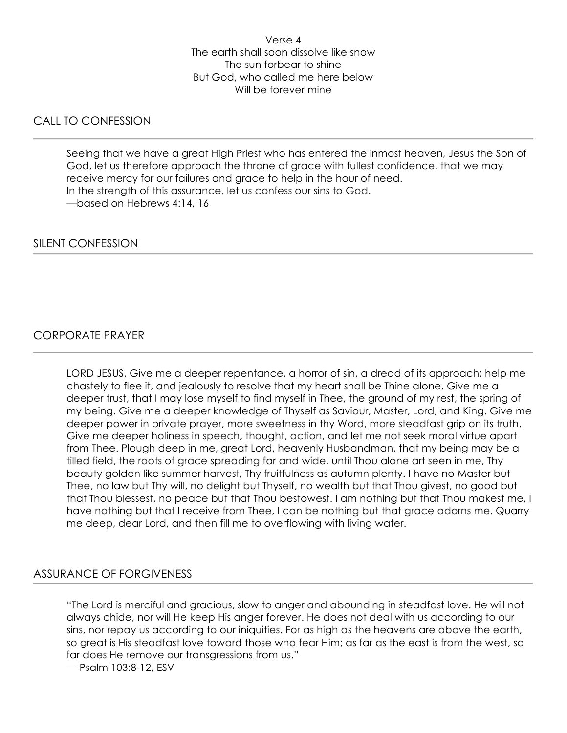#### Verse 4 The earth shall soon dissolve like snow The sun forbear to shine But God, who called me here below Will be forever mine

# CALL TO CONFESSION

Seeing that we have a great High Priest who has entered the inmost heaven, Jesus the Son of God, let us therefore approach the throne of grace with fullest confidence, that we may receive mercy for our failures and grace to help in the hour of need. In the strength of this assurance, let us confess our sins to God. —based on Hebrews 4:14, 16

# SILENT CONFESSION

# CORPORATE PRAYER

LORD JESUS, Give me a deeper repentance, a horror of sin, a dread of its approach; help me chastely to flee it, and jealously to resolve that my heart shall be Thine alone. Give me a deeper trust, that I may lose myself to find myself in Thee, the ground of my rest, the spring of my being. Give me a deeper knowledge of Thyself as Saviour, Master, Lord, and King. Give me deeper power in private prayer, more sweetness in thy Word, more steadfast grip on its truth. Give me deeper holiness in speech, thought, action, and let me not seek moral virtue apart from Thee. Plough deep in me, great Lord, heavenly Husbandman, that my being may be a tilled field, the roots of grace spreading far and wide, until Thou alone art seen in me, Thy beauty golden like summer harvest, Thy fruitfulness as autumn plenty. I have no Master but Thee, no law but Thy will, no delight but Thyself, no wealth but that Thou givest, no good but that Thou blessest, no peace but that Thou bestowest. I am nothing but that Thou makest me, I have nothing but that I receive from Thee, I can be nothing but that grace adorns me. Quarry me deep, dear Lord, and then fill me to overflowing with living water.

# ASSURANCE OF FORGIVENESS

"The Lord is merciful and gracious, slow to anger and abounding in steadfast love. He will not always chide, nor will He keep His anger forever. He does not deal with us according to our sins, nor repay us according to our iniquities. For as high as the heavens are above the earth, so great is His steadfast love toward those who fear Him; as far as the east is from the west, so far does He remove our transgressions from us." — Psalm 103:8-12, ESV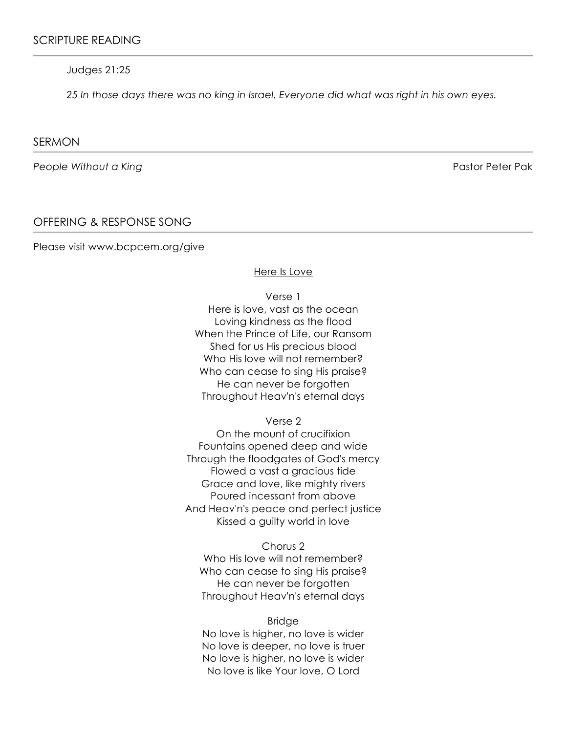Judges 21:25

*25 In those days there was no king in Israel. Everyone did what was right in his own eyes.*

SERMON

People Without a King **People Without a King and Performance Pastor Peter Pak** 

# OFFERING & RESPONSE SONG

Please visit www.bcpcem.org/give

### Here Is Love

Verse 1

Here is love, vast as the ocean Loving kindness as the flood When the Prince of Life, our Ransom Shed for us His precious blood Who His love will not remember? Who can cease to sing His praise? He can never be forgotten Throughout Heav'n's eternal days

Verse 2

On the mount of crucifixion Fountains opened deep and wide Through the floodgates of God's mercy Flowed a vast a gracious tide Grace and love, like mighty rivers Poured incessant from above And Heav'n's peace and perfect justice Kissed a guilty world in love

Chorus 2

Who His love will not remember? Who can cease to sing His praise? He can never be forgotten Throughout Heav'n's eternal days

#### Bridge

No love is higher, no love is wider No love is deeper, no love is truer No love is higher, no love is wider No love is like Your love, O Lord